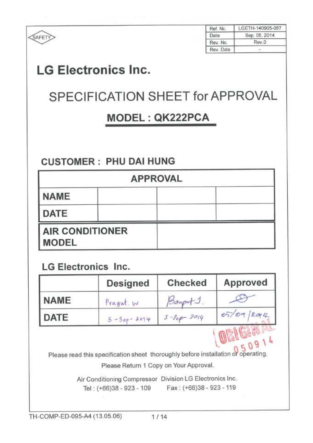|                            |                                                                                                                             |                                              | Ref. No.              | LGETH-140905-057 |
|----------------------------|-----------------------------------------------------------------------------------------------------------------------------|----------------------------------------------|-----------------------|------------------|
| SAFETY                     |                                                                                                                             |                                              | Date                  | Sep. 05, 2014    |
|                            |                                                                                                                             |                                              | Rev. No.<br>Rev. Date | Rev.0            |
|                            |                                                                                                                             |                                              |                       |                  |
|                            | <b>LG Electronics Inc.</b>                                                                                                  |                                              |                       |                  |
|                            | SPECIFICATION SHEET for APPROVAL                                                                                            |                                              |                       |                  |
|                            |                                                                                                                             | MODEL: QK222PCA                              |                       |                  |
|                            |                                                                                                                             |                                              |                       |                  |
|                            |                                                                                                                             |                                              |                       |                  |
|                            | <b>CUSTOMER: PHU DAI HUNG</b>                                                                                               |                                              |                       |                  |
|                            | <b>APPROVAL</b>                                                                                                             |                                              |                       |                  |
| <b>NAME</b>                |                                                                                                                             |                                              |                       |                  |
| DATE                       |                                                                                                                             |                                              |                       |                  |
|                            | <b>AIR CONDITIONER</b>                                                                                                      |                                              |                       |                  |
| <b>MODEL</b>               |                                                                                                                             |                                              |                       |                  |
| <b>LG Electronics Inc.</b> |                                                                                                                             |                                              |                       |                  |
|                            | Designed                                                                                                                    | <b>Checked</b>                               |                       | Approved         |
| <b>NAME</b>                | Prayut. W                                                                                                                   |                                              |                       |                  |
| DATE                       | $5 - Sep - 2014$                                                                                                            | $\frac{\beta_{\alpha\gamma}}{3-3e\rho-2014}$ |                       | 05/09/2014       |
|                            | Please read this specification sheet thoroughly before installation of operating.<br>Please Return 1 Copy on Your Approval. |                                              |                       |                  |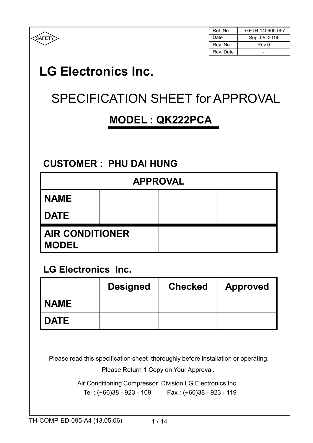

| Ref. No.  | LGETH-140905-057 |
|-----------|------------------|
| Date      | Sep. 05. 2014    |
| Rev. No.  | Rev.0            |
| Rev. Date |                  |

# LG Electronics Inc.

# SPECIFICATION SHEET for APPROVAL

## MODEL : QK222PCA

### CUSTOMER : PHU DAI HUNG

| <b>APPROVAL</b>                        |  |  |  |
|----------------------------------------|--|--|--|
| <b>NAME</b>                            |  |  |  |
| <b>DATE</b>                            |  |  |  |
| <b>AIR CONDITIONER</b><br><b>MODEL</b> |  |  |  |

#### LG Electronics Inc.

|             | <b>Designed</b> | <b>Checked</b> | <b>Approved</b> |
|-------------|-----------------|----------------|-----------------|
| <b>NAME</b> |                 |                |                 |
| <b>DATE</b> |                 |                |                 |

Please read this specification sheet thoroughly before installation or operating.

Please Return 1 Copy on Your Approval.

Air Conditioning Compressor Division LG Electronics Inc. Tel : (+66)38 - 923 - 109 Fax : (+66)38 - 923 - 119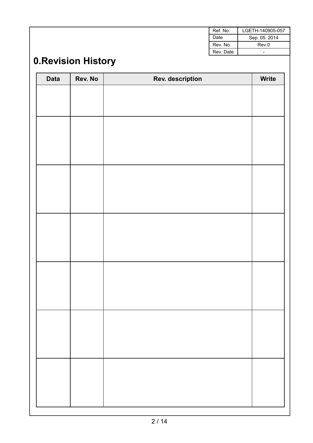| Ref. No.  | LGETH-140905-057 |
|-----------|------------------|
| Date      | Sep. 05. 2014    |
| Rev. No.  | Rev.0            |
| Rev. Date |                  |

## 0.Revision History

| <b>Data</b> | Rev. No | <b>Rev. description</b> | Write |
|-------------|---------|-------------------------|-------|
|             |         |                         |       |
|             |         |                         |       |
|             |         |                         |       |
|             |         |                         |       |
|             |         |                         |       |
|             |         |                         |       |
|             |         |                         |       |
|             |         |                         |       |
|             |         |                         |       |
|             |         |                         |       |
|             |         |                         |       |
|             |         |                         |       |
|             |         |                         |       |
|             |         |                         |       |
|             |         |                         |       |
|             |         |                         |       |
|             |         |                         |       |
|             |         |                         |       |
|             |         |                         |       |
|             |         |                         |       |
|             |         |                         |       |
|             |         |                         |       |
|             |         |                         |       |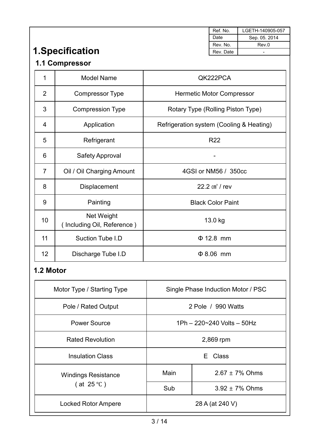|                |                                          |                                          | Ref. No.                   | LGETH-140905-057 |
|----------------|------------------------------------------|------------------------------------------|----------------------------|------------------|
|                |                                          |                                          | Date                       | Sep. 05. 2014    |
|                |                                          |                                          | Rev. No.                   | Rev.0            |
|                | 1. Specification                         |                                          | Rev. Date                  |                  |
|                | 1.1 Compressor                           |                                          |                            |                  |
| 1              | <b>Model Name</b>                        |                                          | QK222PCA                   |                  |
| $\overline{2}$ | <b>Compressor Type</b>                   | <b>Hermetic Motor Compressor</b>         |                            |                  |
| 3              | <b>Compression Type</b>                  | Rotary Type (Rolling Piston Type)        |                            |                  |
| 4              | Application                              | Refrigeration system (Cooling & Heating) |                            |                  |
| 5              | Refrigerant                              | <b>R22</b>                               |                            |                  |
| 6              | <b>Safety Approval</b>                   |                                          |                            |                  |
| $\overline{7}$ | Oil / Oil Charging Amount                | 4GSI or NM56 / 350cc                     |                            |                  |
| 8              | Displacement                             |                                          | 22.2 cm <sup>3</sup> / rev |                  |
| 9              | Painting                                 |                                          | <b>Black Color Paint</b>   |                  |
| 10             | Net Weight<br>(Including Oil, Reference) | 13.0 kg                                  |                            |                  |
| 11             | Suction Tube I.D                         |                                          | $\Phi$ 12.8 mm             |                  |
| 12             | Discharge Tube I.D                       | $\Phi$ 8.06 mm                           |                            |                  |

### 1.2 Motor

| Motor Type / Starting Type | Single Phase Induction Motor / PSC |                     |  |
|----------------------------|------------------------------------|---------------------|--|
| Pole / Rated Output        | 2 Pole / 990 Watts                 |                     |  |
| Power Source               | 1Ph - 220~240 Volts - 50Hz         |                     |  |
| <b>Rated Revolution</b>    | 2,869 rpm                          |                     |  |
| <b>Insulation Class</b>    | E Class                            |                     |  |
| <b>Windings Resistance</b> | Main                               | $2.67 \pm 7\%$ Ohms |  |
| (at $25^{\circ}$ C)        | $3.92 \pm 7\%$ Ohms<br>Sub         |                     |  |
| <b>Locked Rotor Ampere</b> | 28 A (at 240 V)                    |                     |  |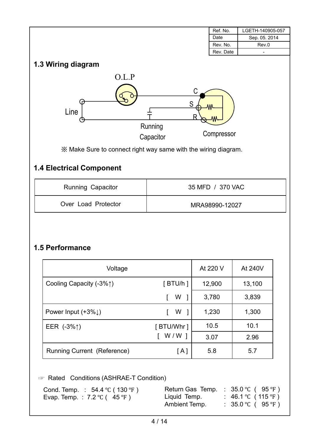|                                                                |                                     | Ref. No.         | LGETH-140905-057 |  |
|----------------------------------------------------------------|-------------------------------------|------------------|------------------|--|
|                                                                |                                     | Date             | Sep. 05. 2014    |  |
|                                                                |                                     | Rev. No.         | Rev.0            |  |
|                                                                |                                     | Rev. Date        |                  |  |
| 1.3 Wiring diagram<br>O.L.P<br>Line                            | С<br>S<br>R<br>Running<br>Capacitor | Compressor       |                  |  |
| X Make Sure to connect right way same with the wiring diagram. |                                     |                  |                  |  |
| <b>1.4 Electrical Component</b>                                |                                     |                  |                  |  |
| Running Capacitor                                              |                                     | 35 MFD / 370 VAC |                  |  |
| Over Load Protector                                            |                                     | MRA98990-12027   |                  |  |

#### 1.5 Performance

| Voltage                         |                | At 220 V | At 240V |
|---------------------------------|----------------|----------|---------|
| Cooling Capacity (-3%↑)         | $[$ BTU/h $]$  | 12,900   | 13,100  |
|                                 | W              | 3,780    | 3,839   |
| Power Input $(+3\% \downarrow)$ | W <sub>1</sub> | 1,230    | 1,300   |
| EER $(-3\% \uparrow)$           | [ BTU/Whr ]    | 10.5     | 10.1    |
|                                 | $W/W$ 1        | 3.07     | 2.96    |
| Running Current (Reference)     | [A]            | 5.8      | 5.7     |

■ Rated Conditions (ASHRAE-T Condition)

| Cond. Temp. : $54.4 \text{ °C}$ (130 $\text{ °F}$ ) | Return Gas Temp. : $35.0 \degree C$ (95 $\degree F$ ) |                              |
|-----------------------------------------------------|-------------------------------------------------------|------------------------------|
| Evap. Temp.: 7.2 °C (45 °F)                         | Liquid Temp.                                          | : 46.1 °C (115 °F )          |
|                                                     | Ambient Temp.                                         | $\therefore$ 35.0 °C (95 °F) |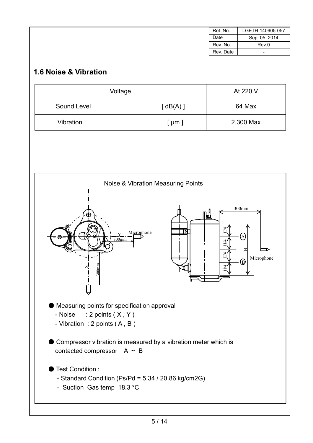|                                                                                                               |                                                                   | Ref. No.                | LGETH-140905-057         |
|---------------------------------------------------------------------------------------------------------------|-------------------------------------------------------------------|-------------------------|--------------------------|
|                                                                                                               |                                                                   | Date                    | Sep. 05. 2014            |
|                                                                                                               |                                                                   | Rev. No.                | Rev.0                    |
|                                                                                                               |                                                                   | Rev. Date               |                          |
| 1.6 Noise & Vibration                                                                                         |                                                                   |                         |                          |
| Voltage                                                                                                       |                                                                   |                         | At 220 V                 |
| Sound Level                                                                                                   | [dB(A)]                                                           |                         | 64 Max                   |
| Vibration                                                                                                     | $[ \mu m ]$                                                       |                         | 2,300 Max                |
| 300mm                                                                                                         | <b>Noise &amp; Vibration Measuring Points</b><br>I۰<br>Microphone | ⊪L<br>H/4<br>H/4<br>H/4 | 300mm<br>A<br>Microphone |
| 300 <sub>mm</sub>                                                                                             |                                                                   | H4                      | J.                       |
| Measuring points for specification approval<br>- Noise $: 2$ points $(X, Y)$<br>- Vibration : 2 points (A, B) |                                                                   |                         |                          |
| Compressor vibration is measured by a vibration meter which is<br>contacted compressor $A \sim B$             |                                                                   |                         |                          |
| Test Condition:<br>- Suction Gas temp 18.3 °C                                                                 | - Standard Condition (Ps/Pd = 5.34 / 20.86 kg/cm2G)               |                         |                          |
|                                                                                                               |                                                                   |                         |                          |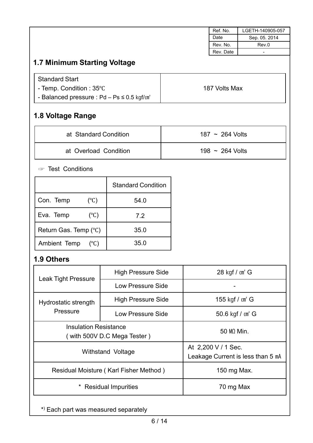|                                                             |                           |                          |  | Ref. No.                     | LGETH-140905-057                  |
|-------------------------------------------------------------|---------------------------|--------------------------|--|------------------------------|-----------------------------------|
|                                                             |                           |                          |  | Date                         | Sep. 05. 2014                     |
|                                                             |                           |                          |  | Rev. No.                     | Rev.0                             |
|                                                             |                           |                          |  | Rev. Date                    | $\overline{\phantom{0}}$          |
| 1.7 Minimum Starting Voltage                                |                           |                          |  |                              |                                   |
| <b>Standard Start</b>                                       |                           |                          |  |                              |                                   |
| - Temp. Condition: 35°C                                     |                           |                          |  | 187 Volts Max                |                                   |
| - Balanced pressure : $Pd - Ps \le 0.5$ kgf/ $m2$           |                           |                          |  |                              |                                   |
| 1.8 Voltage Range                                           |                           |                          |  |                              |                                   |
| at Standard Condition                                       |                           |                          |  | 187 ~ 264 Volts              |                                   |
| at Overload Condition                                       |                           |                          |  | 198 $\sim$ 264 Volts         |                                   |
| <b>Example 13</b> Test Conditions                           |                           |                          |  |                              |                                   |
|                                                             | <b>Standard Condition</b> |                          |  |                              |                                   |
| $(^{\circ}C)$<br>Con. Temp                                  | 54.0                      |                          |  |                              |                                   |
| Eva. Temp<br>$(^{\circ}C)$                                  | 7.2                       |                          |  |                              |                                   |
| Return Gas. Temp (°C)                                       | 35.0                      |                          |  |                              |                                   |
| Ambient Temp<br>$(^{\circ}C)$                               | 35.0                      |                          |  |                              |                                   |
| 1.9 Others                                                  |                           |                          |  |                              |                                   |
| <b>Leak Tight Pressure</b>                                  | <b>High Pressure Side</b> |                          |  | 28 kgf / cm <sup>2</sup> G   |                                   |
|                                                             | <b>Low Pressure Side</b>  |                          |  |                              |                                   |
| Hydrostatic strength                                        | <b>High Pressure Side</b> |                          |  | 155 kgf / cm <sup>2</sup> G  |                                   |
| Pressure                                                    |                           | <b>Low Pressure Side</b> |  | 50.6 kgf / cm <sup>2</sup> G |                                   |
| <b>Insulation Resistance</b><br>(with 500V D.C Mega Tester) |                           |                          |  | 50 MQ Min.                   |                                   |
| Withstand Voltage                                           |                           |                          |  | At 2,200 V / 1 Sec.          | Leakage Current is less than 5 mA |
| Residual Moisture (Karl Fisher Method)                      |                           |                          |  | 150 mg Max.                  |                                   |
| <b>Residual Impurities</b>                                  |                           |                          |  | 70 mg Max                    |                                   |

\* ) Each part was measured separately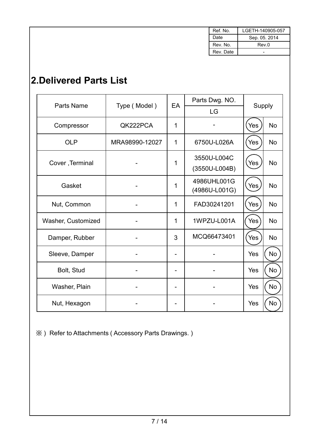| Ref. No.  | LGETH-140905-057 |
|-----------|------------------|
| Date      | Sep. 05. 2014    |
| Rev. No.  | Rev.0            |
| Rev. Date |                  |

### 2.Delivered Parts List

| Parts Name         |                | EA          | Parts Dwg. NO. | Supply     |           |
|--------------------|----------------|-------------|----------------|------------|-----------|
|                    | Type (Model)   |             | LG             |            |           |
| Compressor         | QK222PCA       | 1           |                | Yes        | <b>No</b> |
| <b>OLP</b>         | MRA98990-12027 | $\mathbf 1$ | 6750U-L026A    | Yes        | <b>No</b> |
| Cover, Terminal    |                | 1           | 3550U-L004C    | Yes        | <b>No</b> |
|                    |                |             | (3550U-L004B)  |            |           |
| Gasket             |                | 1           | 4986UHL001G    | Yes        | <b>No</b> |
|                    |                |             | (4986U-L001G)  |            |           |
| Nut, Common        |                | 1           | FAD30241201    | Yes        | <b>No</b> |
| Washer, Customized |                | $\mathbf 1$ | 1WPZU-L001A    | Yes        | <b>No</b> |
| Damper, Rubber     |                | 3           | MCQ66473401    | Yes        | <b>No</b> |
| Sleeve, Damper     |                |             |                | <b>Yes</b> | <b>No</b> |
| Bolt, Stud         |                |             |                | Yes        | No        |
| Washer, Plain      |                |             |                | Yes        | No        |
| Nut, Hexagon       |                |             |                | Yes        | No        |

※ ) Refer to Attachments ( Accessory Parts Drawings. )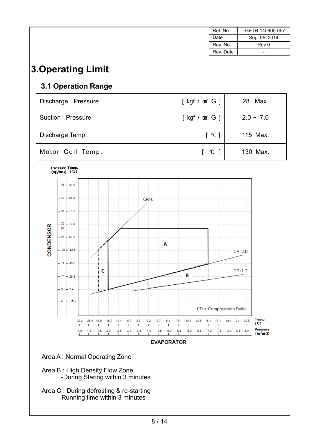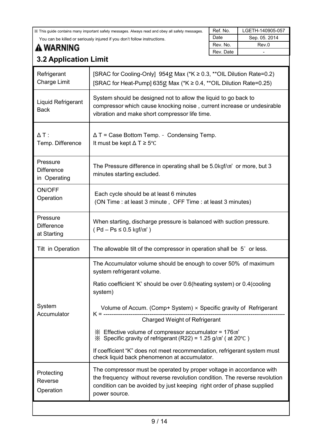| XX This guide contains many important safety messages. Always read and obey all safety messages.                         |                                                                                                                                                                                                                                               | Ref. No.  | LGETH-140905-057 |  |  |
|--------------------------------------------------------------------------------------------------------------------------|-----------------------------------------------------------------------------------------------------------------------------------------------------------------------------------------------------------------------------------------------|-----------|------------------|--|--|
| You can be killed or seriously injured if you don't follow instructions.                                                 |                                                                                                                                                                                                                                               |           | Sep. 05. 2014    |  |  |
| <b>A WARNING</b>                                                                                                         |                                                                                                                                                                                                                                               | Rev. No.  | Rev.0            |  |  |
|                                                                                                                          |                                                                                                                                                                                                                                               | Rev. Date |                  |  |  |
| <b>3.2 Application Limit</b>                                                                                             |                                                                                                                                                                                                                                               |           |                  |  |  |
| Refrigerant<br><b>Charge Limit</b>                                                                                       | [SRAC for Cooling-Only] 954g Max (*K ≥ 0.3, **OIL Dilution Rate=0.2)<br>[SRAC for Heat-Pump] 635g Max (*K ≥ 0.4, **OIL Dilution Rate=0.25)                                                                                                    |           |                  |  |  |
| Liquid Refrigerant<br><b>Back</b>                                                                                        | System should be designed not to allow the liquid to go back to<br>compressor which cause knocking noise, current increase or undesirable<br>vibration and make short compressor life time.                                                   |           |                  |  |  |
| $\Delta T$ :<br>Temp. Difference                                                                                         | $\Delta T$ = Case Bottom Temp. - Condensing Temp.<br>It must be kept $\Delta T \ge 5^{\circ}C$                                                                                                                                                |           |                  |  |  |
| Pressure<br><b>Difference</b><br>in Operating                                                                            | The Pressure difference in operating shall be 5.0 kgf/m <sup>2</sup> or more, but 3<br>minutes starting excluded.                                                                                                                             |           |                  |  |  |
| ON/OFF<br>Operation                                                                                                      | Each cycle should be at least 6 minutes<br>(ON Time : at least 3 minute, OFF Time : at least 3 minutes)                                                                                                                                       |           |                  |  |  |
| Pressure<br><b>Difference</b><br>at Starting                                                                             | When starting, discharge pressure is balanced with suction pressure.<br>$(Pd - Ps \le 0.5 \text{ kgf/m}^2)$                                                                                                                                   |           |                  |  |  |
| Tilt in Operation                                                                                                        | The allowable tilt of the compressor in operation shall be 5° or less.                                                                                                                                                                        |           |                  |  |  |
|                                                                                                                          | The Accumulator volume should be enough to cover 50% of maximum<br>system refrigerant volume.                                                                                                                                                 |           |                  |  |  |
|                                                                                                                          | Ratio coefficient 'K' should be over 0.6(heating system) or 0.4(cooling<br>system)                                                                                                                                                            |           |                  |  |  |
| System<br>Accumulator                                                                                                    | Volume of Accum. (Comp+ System) × Specific gravity of Refrigerant<br>$K =$ ----------                                                                                                                                                         |           |                  |  |  |
|                                                                                                                          | <b>Charged Weight of Refrigerant</b>                                                                                                                                                                                                          |           |                  |  |  |
|                                                                                                                          | $\frac{1}{2}$ Effective volume of compressor accumulator = 176 $\text{cm}^3$<br>$\frac{1}{2}$ Specific gravity of refrigerant (R22) = 1.25 g/cm <sup>3</sup> (at 20 °C)                                                                       |           |                  |  |  |
| If coefficient "K" does not meet recommendation, refrigerant system must<br>check liquid back phenomenon at accumulator. |                                                                                                                                                                                                                                               |           |                  |  |  |
| Protecting<br>Reverse<br>Operation                                                                                       | The compressor must be operated by proper voltage in accordance with<br>the frequency without reverse revolution condition. The reverse revolution<br>condition can be avoided by just keeping right order of phase supplied<br>power source. |           |                  |  |  |
|                                                                                                                          |                                                                                                                                                                                                                                               |           |                  |  |  |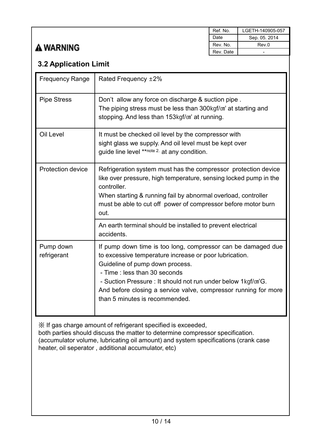### **A WARNING**

| Ref. No.  | LGETH-140905-057 |
|-----------|------------------|
| Date      | Sep. 05. 2014    |
| Rev. No.  | Rev 0            |
| Rev. Date |                  |

#### 3.2 Application Limit

| <b>Frequency Range</b>   | Rated Frequency ±2%                                                                                                                                                                                                                                                                                                                                                         |
|--------------------------|-----------------------------------------------------------------------------------------------------------------------------------------------------------------------------------------------------------------------------------------------------------------------------------------------------------------------------------------------------------------------------|
| <b>Pipe Stress</b>       | Don't allow any force on discharge & suction pipe.<br>The piping stress must be less than 300kgf/m <sup>2</sup> at starting and<br>stopping. And less than 153kgf/m <sup>2</sup> at running.                                                                                                                                                                                |
| <b>Oil Level</b>         | It must be checked oil level by the compressor with<br>sight glass we supply. And oil level must be kept over<br>guide line level **note 2. at any condition.                                                                                                                                                                                                               |
| <b>Protection device</b> | Refrigeration system must has the compressor protection device<br>like over pressure, high temperature, sensing locked pump in the<br>controller.<br>When starting & running fail by abnormal overload, controller<br>must be able to cut off power of compressor before motor burn<br>out.                                                                                 |
|                          | An earth terminal should be installed to prevent electrical<br>accidents.                                                                                                                                                                                                                                                                                                   |
| Pump down<br>refrigerant | If pump down time is too long, compressor can be damaged due<br>to excessive temperature increase or poor lubrication.<br>Guideline of pump down process.<br>- Time: less than 30 seconds<br>- Suction Pressure : It should not run under below 1kgf/m <sup>2</sup> G.<br>And before closing a service valve, compressor running for more<br>than 5 minutes is recommended. |

※ If gas charge amount of refrigerant specified is exceeded, both parties should discuss the matter to determine compressor specification. (accumulator volume, lubricating oil amount) and system specifications (crank case heater, oil seperator , additional accumulator, etc)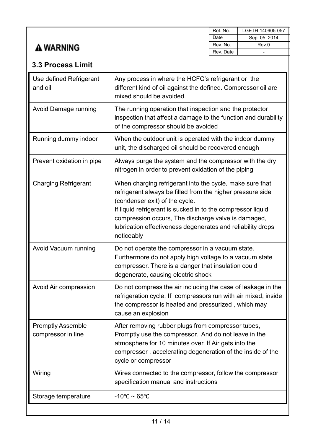### **A WARNING**

| Ref. No.  | LGETH-140905-057 |
|-----------|------------------|
| Date      | Sep. 05. 2014    |
| Rev. No.  | Rev.0            |
| Rev. Date |                  |

#### 3.3 Process Limit

| Use defined Refrigerant<br>and oil             | Any process in where the HCFC's refrigerant or the<br>different kind of oil against the defined. Compressor oil are<br>mixed should be avoided.                                                                                                                                                                                                             |
|------------------------------------------------|-------------------------------------------------------------------------------------------------------------------------------------------------------------------------------------------------------------------------------------------------------------------------------------------------------------------------------------------------------------|
| <b>Avoid Damage running</b>                    | The running operation that inspection and the protector<br>inspection that affect a damage to the function and durability<br>of the compressor should be avoided                                                                                                                                                                                            |
| Running dummy indoor                           | When the outdoor unit is operated with the indoor dummy<br>unit, the discharged oil should be recovered enough                                                                                                                                                                                                                                              |
| Prevent oxidation in pipe                      | Always purge the system and the compressor with the dry<br>nitrogen in order to prevent oxidation of the piping                                                                                                                                                                                                                                             |
| <b>Charging Refrigerant</b>                    | When charging refrigerant into the cycle, make sure that<br>refrigerant always be filled from the higher pressure side<br>(condenser exit) of the cycle.<br>If liquid refrigerant is sucked in to the compressor liquid<br>compression occurs, The discharge valve is damaged,<br>lubrication effectiveness degenerates and reliability drops<br>noticeably |
| Avoid Vacuum running                           | Do not operate the compressor in a vacuum state.<br>Furthermore do not apply high voltage to a vacuum state<br>compressor. There is a danger that insulation could<br>degenerate, causing electric shock                                                                                                                                                    |
| Avoid Air compression                          | Do not compress the air including the case of leakage in the<br>refrigeration cycle. If compressors run with air mixed, inside<br>the compressor is heated and pressurized, which may<br>cause an explosion                                                                                                                                                 |
| <b>Promptly Assemble</b><br>compressor in line | After removing rubber plugs from compressor tubes,<br>Promptly use the compressor. And do not leave in the<br>atmosphere for 10 minutes over. If Air gets into the<br>compressor, accelerating degeneration of the inside of the<br>cycle or compressor                                                                                                     |
| Wiring                                         | Wires connected to the compressor, follow the compressor<br>specification manual and instructions                                                                                                                                                                                                                                                           |
| Storage temperature                            | $-10^{\circ}$ C ~ 65 $^{\circ}$ C                                                                                                                                                                                                                                                                                                                           |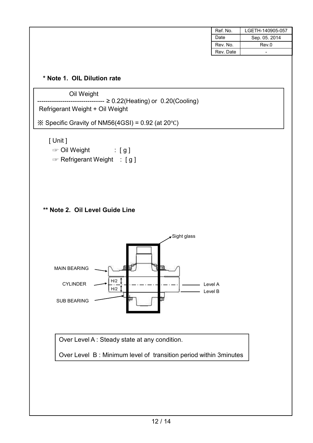| Ref. No.  | LGETH-140905-057 |
|-----------|------------------|
| Date      | Sep. 05. 2014    |
| Rev. No.  | Rev.0            |
| Rev. Date | -                |
|           |                  |

#### \* Note 1. OIL Dilution rate

Oil Weight

 $---\geq 0.22$ (Heating) or  $0.20$ (Cooling) Refrigerant Weight + Oil Weight

※ Specific Gravity of NM56(4GSI) = 0.92 (at 20℃)

[ Unit ]

- ■■■ Oil Weight : [g]
- $\sqrt{8}$  Refrigerant Weight : [g]





Over Level A : Steady state at any condition.

Over Level B : Minimum level of transition period within 3minutes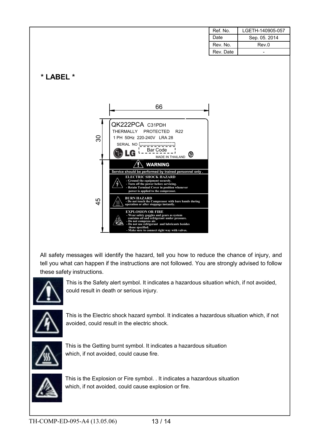| Ref. No.  | LGETH-140905-057 |
|-----------|------------------|
| Date      | Sep. 05. 2014    |
| Rev. No.  | Rev 0            |
| Rev. Date |                  |

\* LABEL \*



All safety messages will identify the hazard, tell you how to reduce the chance of injury, and tell you what can happen if the instructions are not followed. You are strongly advised to follow these safety instructions.



This is the Safety alert symbol. It indicates a hazardous situation which, if not avoided, could result in death or serious injury.



This is the Electric shock hazard symbol. It indicates a hazardous situation which, if not avoided, could result in the electric shock.



This is the Getting burnt symbol. It indicates a hazardous situation which, if not avoided, could cause fire.



This is the Explosion or Fire symbol. . It indicates a hazardous situation which, if not avoided, could cause explosion or fire.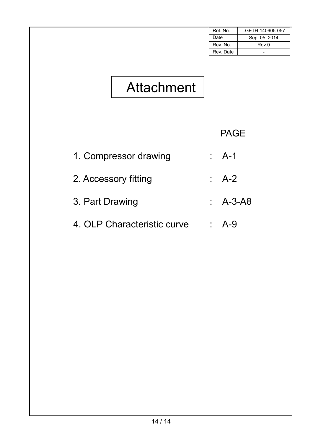| <b>Attachment</b>           | Ref. No.<br>Date<br>Rev. No.<br>Rev. Date | LGETH-140905-057<br>Sep. 05. 2014<br>Rev.0<br>$\overline{\phantom{a}}$ |
|-----------------------------|-------------------------------------------|------------------------------------------------------------------------|
|                             | <b>PAGE</b>                               |                                                                        |
| 1. Compressor drawing       | $: A-1$                                   |                                                                        |
| 2. Accessory fitting        | $AA-2$                                    |                                                                        |
| 3. Part Drawing             | $AA-3-AB$                                 |                                                                        |
| 4. OLP Characteristic curve | $\therefore$ A-9                          |                                                                        |
|                             |                                           |                                                                        |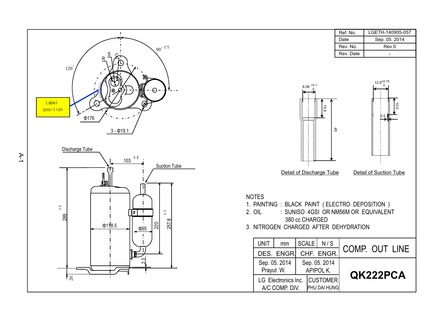



|                                                                |                                                                 | Ref. No.  | LGETH-140905-057                                       |
|----------------------------------------------------------------|-----------------------------------------------------------------|-----------|--------------------------------------------------------|
|                                                                |                                                                 | Date      | Sep. 05. 2014                                          |
|                                                                |                                                                 | Rev. No.  | Rev.0                                                  |
|                                                                |                                                                 | Rev. Date |                                                        |
| <b>NOTES</b><br>1. PAINTING : BLACK PAINT (ELECTRO DEPOSITION) | $8.06$ <sup>+0.1</sup><br>6.9<br>री<br>Detail of Discharge Tube |           | $12.8^{+0.15}$<br>0.0<br>0.5<br>Detail of Suction Tube |
| 2. OIL                                                         | : SUNISO 4GSI OR NM56M OR EQUIVALENT                            |           |                                                        |
|                                                                | 380 cc CHARGED                                                  |           |                                                        |
| 3. NITROGEN CHARGED AFTER DEHYDRATION                          |                                                                 |           |                                                        |
| <b>UNIT</b><br>mm                                              | SCALE<br>N/S                                                    |           | COMP. OUT LINE                                         |
| DES. ENGR.                                                     | CHF. ENGR.                                                      |           |                                                        |
| Sep. 05. 2014<br>Prayut W.                                     | Sep. 05. 2014<br>APIPOL K.                                      |           | <b>QK222PCA</b>                                        |
| LG Electronics Inc.<br>A/C COMP. DIV.                          | <b>CUSTOMER</b><br>PHU DAI HUNG                                 |           |                                                        |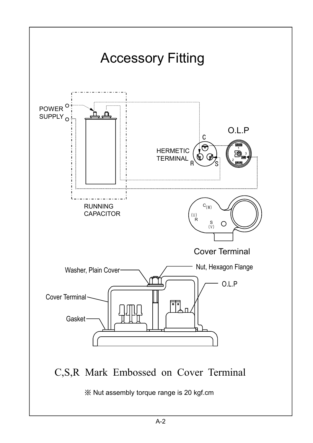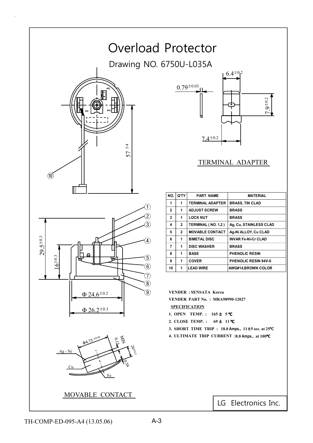

 $\mathbb{C}1$  $_{\pm0.2}$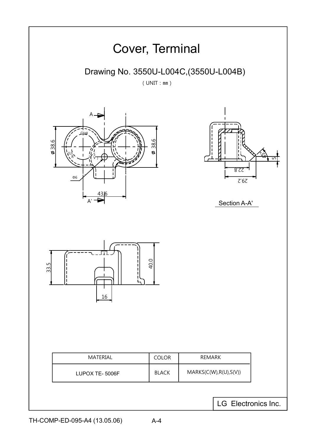

TH-COMP-ED-095-A4 (13.05.06)

A-4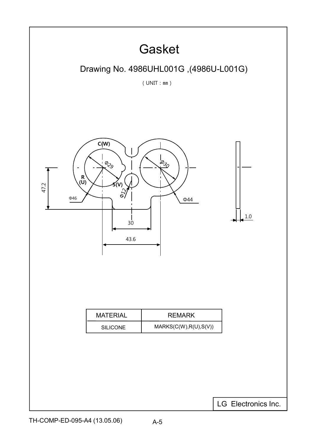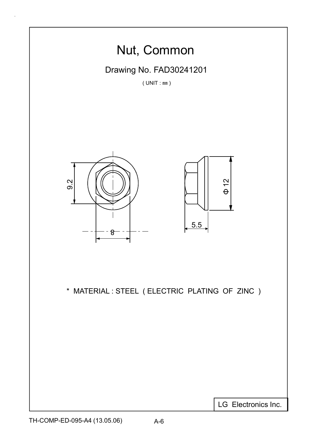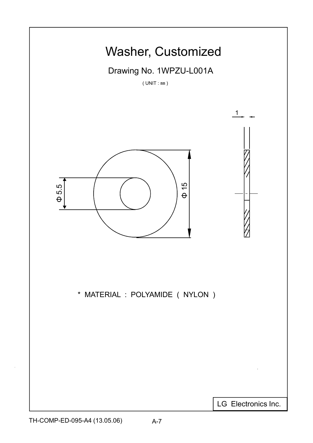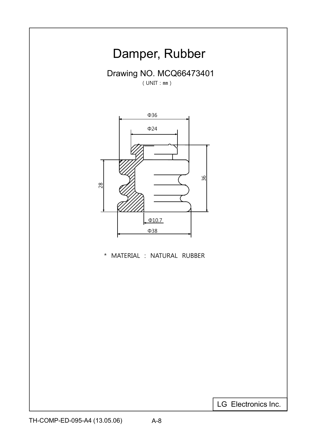